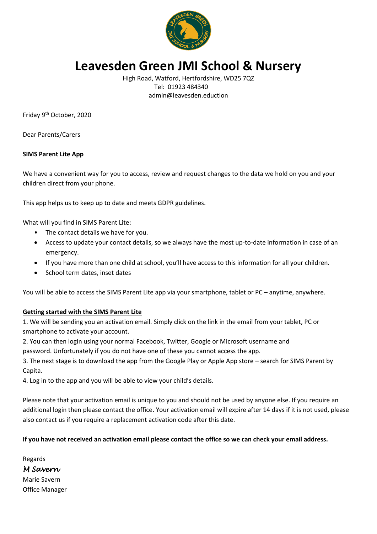

# **Leavesden Green JMI School & Nursery**

High Road, Watford, Hertfordshire, WD25 7QZ Tel: 01923 484340 admin@leavesden.eduction

Friday 9th October, 2020

Dear Parents/Carers

### **SIMS Parent Lite App**

We have a convenient way for you to access, review and request changes to the data we hold on you and your children direct from your phone.

This app helps us to keep up to date and meets GDPR guidelines.

What will you find in SIMS Parent Lite:

- The contact details we have for you.
- Access to update your contact details, so we always have the most up-to-date information in case of an emergency.
- If you have more than one child at school, you'll have access to this information for all your children.
- School term dates, inset dates

You will be able to access the SIMS Parent Lite app via your smartphone, tablet or PC – anytime, anywhere.

### **Getting started with the SIMS Parent Lite**

1. We will be sending you an activation email. Simply click on the link in the email from your tablet, PC or smartphone to activate your account.

2. You can then login using your normal Facebook, Twitter, Google or Microsoft username and password. Unfortunately if you do not have one of these you cannot access the app.

3. The next stage is to download the app from the Google Play or Apple App store – search for SIMS Parent by Capita.

4. Log in to the app and you will be able to view your child's details.

Please note that your activation email is unique to you and should not be used by anyone else. If you require an additional login then please contact the office. Your activation email will expire after 14 days if it is not used, please also contact us if you require a replacement activation code after this date.

### **If you have not received an activation email please contact the office so we can check your email address.**

Regards *M Savern*  Marie Savern Office Manager